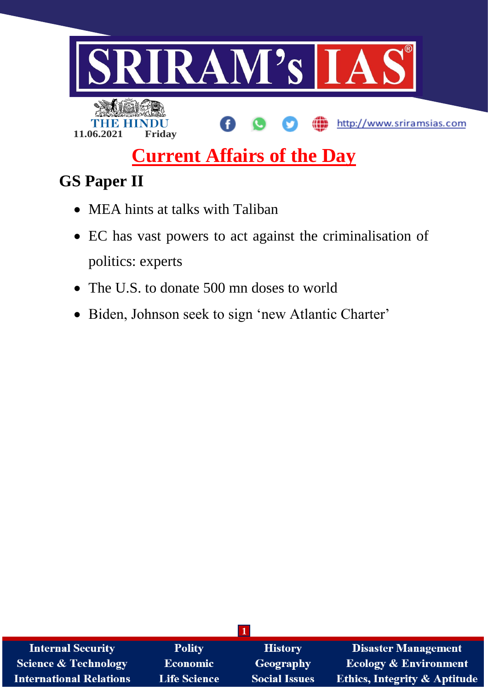

# **Current Affairs of the Day**

# **GS Paper II**

- MEA hints at talks with Taliban
- EC has vast powers to act against the criminalisation of politics: experts
- The U.S. to donate 500 mn doses to world
- Biden, Johnson seek to sign 'new Atlantic Charter'

| <b>Internal Security</b>        | <b>Polity</b>       | <b>History</b>       | <b>Disaster Management</b>              |  |  |
|---------------------------------|---------------------|----------------------|-----------------------------------------|--|--|
| <b>Science &amp; Technology</b> | <b>Economic</b>     | Geography            | <b>Ecology &amp; Environment</b>        |  |  |
| <b>International Relations</b>  | <b>Life Science</b> | <b>Social Issues</b> | <b>Ethics, Integrity &amp; Aptitude</b> |  |  |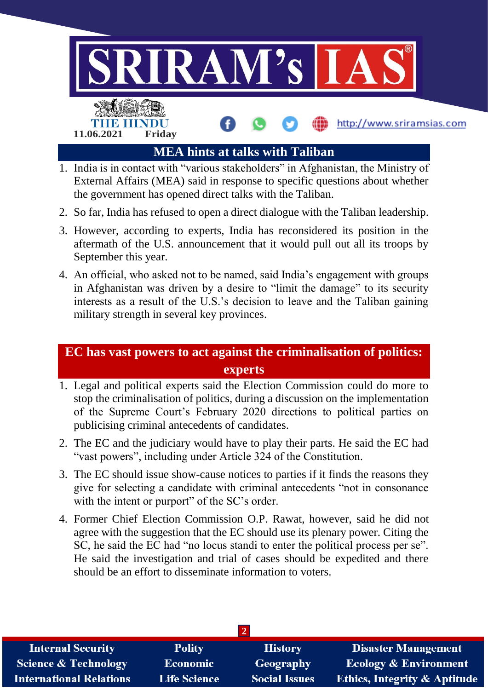

- 1. India is in contact with "various stakeholders" in Afghanistan, the Ministry of External Affairs (MEA) said in response to specific questions about whether the government has opened direct talks with the Taliban.
- 2. So far, India has refused to open a direct dialogue with the Taliban leadership.
- 3. However, according to experts, India has reconsidered its position in the aftermath of the U.S. announcement that it would pull out all its troops by September this year.
- 4. An official, who asked not to be named, said India's engagement with groups in Afghanistan was driven by a desire to "limit the damage" to its security interests as a result of the U.S.'s decision to leave and the Taliban gaining military strength in several key provinces.

## **EC has vast powers to act against the criminalisation of politics: experts**

- 1. Legal and political experts said the Election Commission could do more to stop the criminalisation of politics, during a discussion on the implementation of the Supreme Court's February 2020 directions to political parties on publicising criminal antecedents of candidates.
- 2. The EC and the judiciary would have to play their parts. He said the EC had "vast powers", including under Article 324 of the Constitution.
- 3. The EC should issue show-cause notices to parties if it finds the reasons they give for selecting a candidate with criminal antecedents "not in consonance with the intent or purport" of the SC's order.
- 4. Former Chief Election Commission O.P. Rawat, however, said he did not agree with the suggestion that the EC should use its plenary power. Citing the SC, he said the EC had "no locus standi to enter the political process per se". He said the investigation and trial of cases should be expedited and there should be an effort to disseminate information to voters.

| <b>Internal Security</b>        | <b>Polity</b>       | <b>History</b>       | <b>Disaster Management</b>              |  |  |  |
|---------------------------------|---------------------|----------------------|-----------------------------------------|--|--|--|
| <b>Science &amp; Technology</b> | <b>Economic</b>     | Geography            | <b>Ecology &amp; Environment</b>        |  |  |  |
| <b>International Relations</b>  | <b>Life Science</b> | <b>Social Issues</b> | <b>Ethics, Integrity &amp; Aptitude</b> |  |  |  |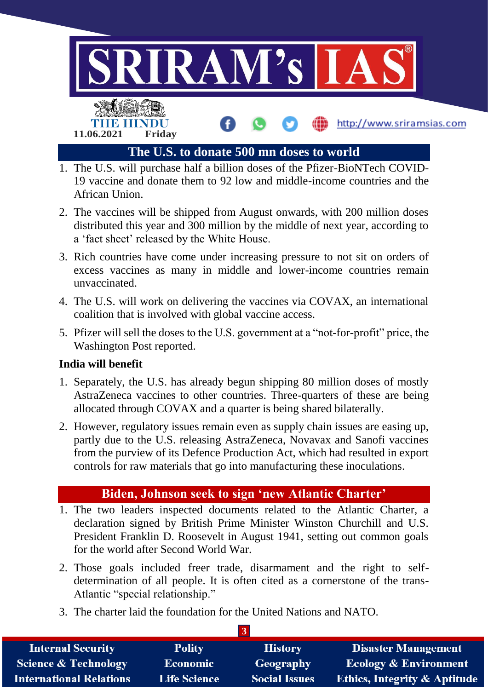

- 1. The U.S. will purchase half a billion doses of the Pfizer-BioNTech COVID-19 vaccine and donate them to 92 low and middle-income countries and the African Union.
- 2. The vaccines will be shipped from August onwards, with 200 million doses distributed this year and 300 million by the middle of next year, according to a 'fact sheet' released by the White House.
- 3. Rich countries have come under increasing pressure to not sit on orders of excess vaccines as many in middle and lower-income countries remain unvaccinated.
- 4. The U.S. will work on delivering the vaccines via COVAX, an international coalition that is involved with global vaccine access.
- 5. Pfizer will sell the doses to the U.S. government at a "not-for-profit" price, the Washington Post reported.

#### **India will benefit**

- 1. Separately, the U.S. has already begun shipping 80 million doses of mostly AstraZeneca vaccines to other countries. Three-quarters of these are being allocated through COVAX and a quarter is being shared bilaterally.
- 2. However, regulatory issues remain even as supply chain issues are easing up, partly due to the U.S. releasing AstraZeneca, Novavax and Sanofi vaccines from the purview of its Defence Production Act, which had resulted in export controls for raw materials that go into manufacturing these inoculations.

### **Biden, Johnson seek to sign 'new Atlantic Charter'**

- 1. The two leaders inspected documents related to the Atlantic Charter, a declaration signed by British Prime Minister Winston Churchill and U.S. President Franklin D. Roosevelt in August 1941, setting out common goals for the world after Second World War.
- 2. Those goals included freer trade, disarmament and the right to selfdetermination of all people. It is often cited as a cornerstone of the trans-Atlantic "special relationship."
- 3. The charter laid the foundation for the United Nations and NATO.

| <b>Internal Security</b>        | <b>Polity</b>       | <b>History</b>       | <b>Disaster Management</b>              |  |  |  |
|---------------------------------|---------------------|----------------------|-----------------------------------------|--|--|--|
| <b>Science &amp; Technology</b> | Economic            | Geography            | <b>Ecology &amp; Environment</b>        |  |  |  |
| <b>International Relations</b>  | <b>Life Science</b> | <b>Social Issues</b> | <b>Ethics, Integrity &amp; Aptitude</b> |  |  |  |